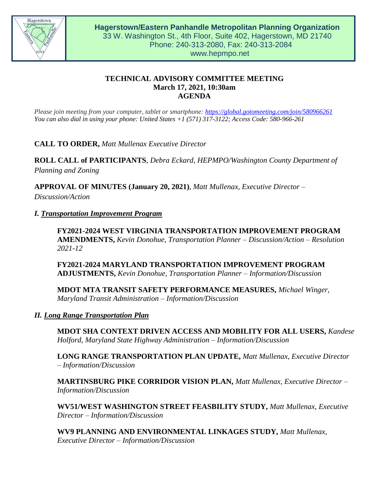

# **TECHNICAL ADVISORY COMMITTEE MEETING March 17, 2021, 10:30am AGENDA**

*Please join meeting from your computer, tablet or smartphone:<https://global.gotomeeting.com/join/580966261> You can also dial in using your phone: United States +1 (571) 317-3122; Access Code: 580-966-261*

**CALL TO ORDER,** *Matt Mullenax Executive Director*

**ROLL CALL of PARTICIPANTS**, *Debra Eckard, HEPMPO/Washington County Department of Planning and Zoning*

**APPROVAL OF MINUTES (January 20, 2021)**, *Matt Mullenax, Executive Director – Discussion/Action*

## *I. Transportation Improvement Program*

**FY2021-2024 WEST VIRGINIA TRANSPORTATION IMPROVEMENT PROGRAM AMENDMENTS,** *Kevin Donohue, Transportation Planner – Discussion/Action – Resolution 2021-12*

**FY2021-2024 MARYLAND TRANSPORTATION IMPROVEMENT PROGRAM ADJUSTMENTS,** *Kevin Donohue, Transportation Planner – Information/Discussion*

**MDOT MTA TRANSIT SAFETY PERFORMANCE MEASURES,** *Michael Winger, Maryland Transit Administration – Information/Discussion*

## *II. Long Range Transportation Plan*

**MDOT SHA CONTEXT DRIVEN ACCESS AND MOBILITY FOR ALL USERS,** *Kandese Holford, Maryland State Highway Administration – Information/Discussion*

**LONG RANGE TRANSPORTATION PLAN UPDATE,** *Matt Mullenax, Executive Director – Information/Discussion*

**MARTINSBURG PIKE CORRIDOR VISION PLAN,** *Matt Mullenax, Executive Director – Information/Discussion*

**WV51/WEST WASHINGTON STREET FEASBILITY STUDY,** *Matt Mullenax, Executive Director – Information/Discussion*

**WV9 PLANNING AND ENVIRONMENTAL LINKAGES STUDY,** *Matt Mullenax, Executive Director – Information/Discussion*